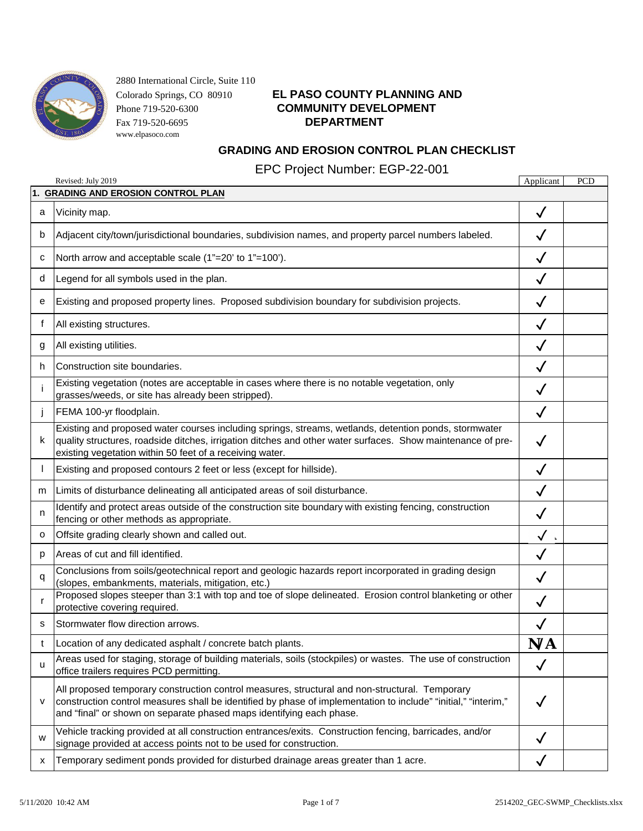

### Colorado Springs, CO 80910 **EL PASO COUNTY PLANNING AND** Phone 719-520-6300 **COMMUNITY DEVELOPMENT**

### **GRADING AND EROSION CONTROL PLAN CHECKLIST**

EPC Project Number: EGP-22-001

|    | Revised: July 2019                                                                                                                                                                                                                                                                       | Applicant    | <b>PCD</b> |
|----|------------------------------------------------------------------------------------------------------------------------------------------------------------------------------------------------------------------------------------------------------------------------------------------|--------------|------------|
|    | 1. GRADING AND EROSION CONTROL PLAN                                                                                                                                                                                                                                                      |              |            |
| a  | Vicinity map.                                                                                                                                                                                                                                                                            | $\checkmark$ |            |
| b  | Adjacent city/town/jurisdictional boundaries, subdivision names, and property parcel numbers labeled.                                                                                                                                                                                    |              |            |
| с  | North arrow and acceptable scale (1"=20' to 1"=100').                                                                                                                                                                                                                                    | $\checkmark$ |            |
| d  | Legend for all symbols used in the plan.                                                                                                                                                                                                                                                 | $\checkmark$ |            |
| е  | Existing and proposed property lines. Proposed subdivision boundary for subdivision projects.                                                                                                                                                                                            | $\checkmark$ |            |
| f  | All existing structures.                                                                                                                                                                                                                                                                 |              |            |
| g  | All existing utilities.                                                                                                                                                                                                                                                                  | $\checkmark$ |            |
| h. | Construction site boundaries.                                                                                                                                                                                                                                                            | $\checkmark$ |            |
|    | Existing vegetation (notes are acceptable in cases where there is no notable vegetation, only<br>grasses/weeds, or site has already been stripped).                                                                                                                                      | $\checkmark$ |            |
|    | FEMA 100-yr floodplain.                                                                                                                                                                                                                                                                  | $\checkmark$ |            |
| k. | Existing and proposed water courses including springs, streams, wetlands, detention ponds, stormwater<br>quality structures, roadside ditches, irrigation ditches and other water surfaces. Show maintenance of pre-<br>existing vegetation within 50 feet of a receiving water.         | $\checkmark$ |            |
|    | Existing and proposed contours 2 feet or less (except for hillside).                                                                                                                                                                                                                     | $\checkmark$ |            |
| m  | Limits of disturbance delineating all anticipated areas of soil disturbance.                                                                                                                                                                                                             | $\checkmark$ |            |
| n  | Identify and protect areas outside of the construction site boundary with existing fencing, construction<br>fencing or other methods as appropriate.                                                                                                                                     | $\checkmark$ |            |
| o  | Offsite grading clearly shown and called out.                                                                                                                                                                                                                                            | $\checkmark$ |            |
| p  | Areas of cut and fill identified.                                                                                                                                                                                                                                                        | $\checkmark$ |            |
| q  | Conclusions from soils/geotechnical report and geologic hazards report incorporated in grading design<br>(slopes, embankments, materials, mitigation, etc.)                                                                                                                              | $\checkmark$ |            |
| r  | Proposed slopes steeper than 3:1 with top and toe of slope delineated. Erosion control blanketing or other<br>protective covering required.                                                                                                                                              | $\checkmark$ |            |
| s  | Stormwater flow direction arrows.                                                                                                                                                                                                                                                        | $\checkmark$ |            |
| t  | Location of any dedicated asphalt / concrete batch plants.                                                                                                                                                                                                                               | N/A          |            |
| u  | Areas used for staging, storage of building materials, soils (stockpiles) or wastes. The use of construction<br>office trailers requires PCD permitting.                                                                                                                                 | $\checkmark$ |            |
| V  | All proposed temporary construction control measures, structural and non-structural. Temporary<br>construction control measures shall be identified by phase of implementation to include" "initial," "interim,"<br>and "final" or shown on separate phased maps identifying each phase. | $\checkmark$ |            |
| W  | Vehicle tracking provided at all construction entrances/exits. Construction fencing, barricades, and/or<br>signage provided at access points not to be used for construction.                                                                                                            | ✓            |            |
| х  | Temporary sediment ponds provided for disturbed drainage areas greater than 1 acre.                                                                                                                                                                                                      |              |            |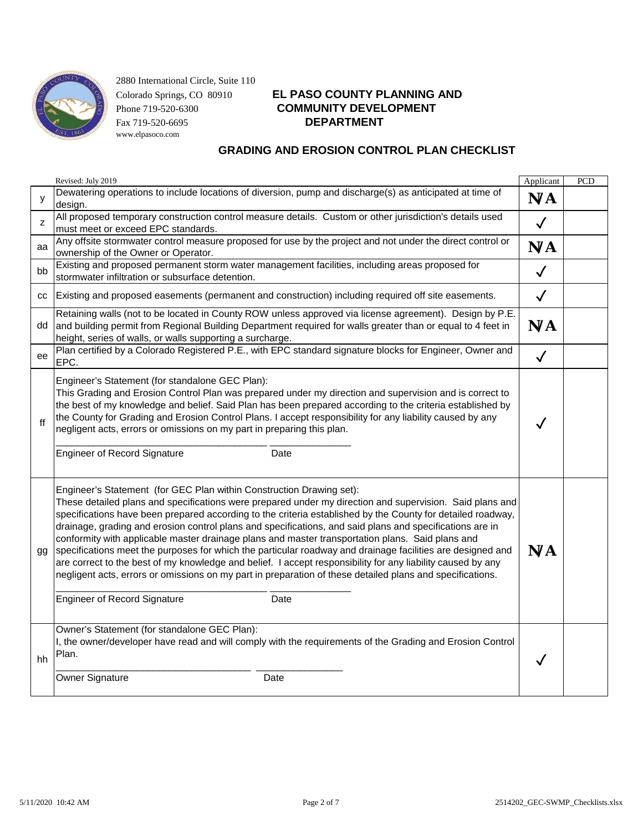

# Colorado Springs, CO 80910 **EL PASO COUNTY PLANNING AND** Phone 719-520-6300 **COMMUNITY DEVELOPMENT**

|    | Revised: July 2019                                                                                                                                                                                                                                                                                                                                                                                                                                                                                                                                                                                                                                                                                                                                                                                                                                                                                       | Applicant    | PCD |
|----|----------------------------------------------------------------------------------------------------------------------------------------------------------------------------------------------------------------------------------------------------------------------------------------------------------------------------------------------------------------------------------------------------------------------------------------------------------------------------------------------------------------------------------------------------------------------------------------------------------------------------------------------------------------------------------------------------------------------------------------------------------------------------------------------------------------------------------------------------------------------------------------------------------|--------------|-----|
| y  | Dewatering operations to include locations of diversion, pump and discharge(s) as anticipated at time of<br>design.                                                                                                                                                                                                                                                                                                                                                                                                                                                                                                                                                                                                                                                                                                                                                                                      | N/A          |     |
| z  | All proposed temporary construction control measure details. Custom or other jurisdiction's details used<br>must meet or exceed EPC standards.                                                                                                                                                                                                                                                                                                                                                                                                                                                                                                                                                                                                                                                                                                                                                           | $\checkmark$ |     |
| aa | Any offsite stormwater control measure proposed for use by the project and not under the direct control or<br>ownership of the Owner or Operator.                                                                                                                                                                                                                                                                                                                                                                                                                                                                                                                                                                                                                                                                                                                                                        | N/A          |     |
| bb | Existing and proposed permanent storm water management facilities, including areas proposed for<br>stormwater infiltration or subsurface detention.                                                                                                                                                                                                                                                                                                                                                                                                                                                                                                                                                                                                                                                                                                                                                      | $\checkmark$ |     |
| СC | Existing and proposed easements (permanent and construction) including required off site easements.                                                                                                                                                                                                                                                                                                                                                                                                                                                                                                                                                                                                                                                                                                                                                                                                      | $\checkmark$ |     |
| dd | Retaining walls (not to be located in County ROW unless approved via license agreement). Design by P.E.<br>and building permit from Regional Building Department required for walls greater than or equal to 4 feet in<br>height, series of walls, or walls supporting a surcharge.                                                                                                                                                                                                                                                                                                                                                                                                                                                                                                                                                                                                                      | N/A          |     |
| ee | Plan certified by a Colorado Registered P.E., with EPC standard signature blocks for Engineer, Owner and<br>EPC.                                                                                                                                                                                                                                                                                                                                                                                                                                                                                                                                                                                                                                                                                                                                                                                         | $\checkmark$ |     |
| ff | Engineer's Statement (for standalone GEC Plan):<br>This Grading and Erosion Control Plan was prepared under my direction and supervision and is correct to<br>the best of my knowledge and belief. Said Plan has been prepared according to the criteria established by<br>the County for Grading and Erosion Control Plans. I accept responsibility for any liability caused by any<br>negligent acts, errors or omissions on my part in preparing this plan.<br><b>Engineer of Record Signature</b><br>Date                                                                                                                                                                                                                                                                                                                                                                                            | $\checkmark$ |     |
| gg | Engineer's Statement (for GEC Plan within Construction Drawing set):<br>These detailed plans and specifications were prepared under my direction and supervision. Said plans and<br>specifications have been prepared according to the criteria established by the County for detailed roadway,<br>drainage, grading and erosion control plans and specifications, and said plans and specifications are in<br>conformity with applicable master drainage plans and master transportation plans. Said plans and<br>specifications meet the purposes for which the particular roadway and drainage facilities are designed and<br>are correct to the best of my knowledge and belief. I accept responsibility for any liability caused by any<br>negligent acts, errors or omissions on my part in preparation of these detailed plans and specifications.<br><b>Engineer of Record Signature</b><br>Date | N/A          |     |
| hh | Owner's Statement (for standalone GEC Plan):<br>I, the owner/developer have read and will comply with the requirements of the Grading and Erosion Control<br>Plan.<br>Owner Signature<br>Date                                                                                                                                                                                                                                                                                                                                                                                                                                                                                                                                                                                                                                                                                                            |              |     |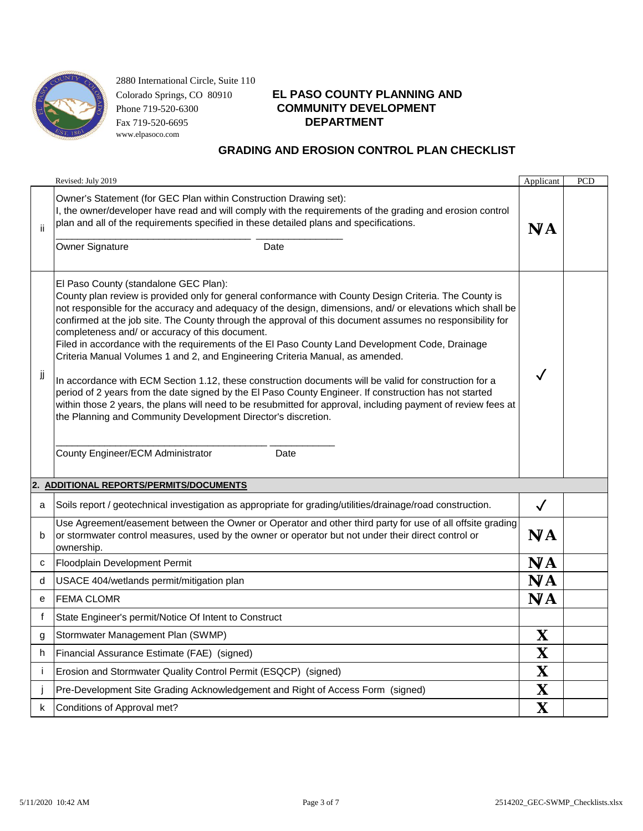

# Colorado Springs, CO 80910 **EL PASO COUNTY PLANNING AND** Phone 719-520-6300 **COMMUNITY DEVELOPMENT**

|                          | Revised: July 2019                                                                                                                                                                                                                                                                                                                                                                                                                                                                                                                                                                                                                                                                                                                                                                                                                                                                                                                                                                                                                                                   | Applicant               | PCD |
|--------------------------|----------------------------------------------------------------------------------------------------------------------------------------------------------------------------------------------------------------------------------------------------------------------------------------------------------------------------------------------------------------------------------------------------------------------------------------------------------------------------------------------------------------------------------------------------------------------------------------------------------------------------------------------------------------------------------------------------------------------------------------------------------------------------------------------------------------------------------------------------------------------------------------------------------------------------------------------------------------------------------------------------------------------------------------------------------------------|-------------------------|-----|
| ii                       | Owner's Statement (for GEC Plan within Construction Drawing set):<br>I, the owner/developer have read and will comply with the requirements of the grading and erosion control<br>plan and all of the requirements specified in these detailed plans and specifications.<br>Owner Signature<br>Date                                                                                                                                                                                                                                                                                                                                                                                                                                                                                                                                                                                                                                                                                                                                                                  | N/A                     |     |
| jj                       | El Paso County (standalone GEC Plan):<br>County plan review is provided only for general conformance with County Design Criteria. The County is<br>not responsible for the accuracy and adequacy of the design, dimensions, and/ or elevations which shall be<br>confirmed at the job site. The County through the approval of this document assumes no responsibility for<br>completeness and/ or accuracy of this document.<br>Filed in accordance with the requirements of the El Paso County Land Development Code, Drainage<br>Criteria Manual Volumes 1 and 2, and Engineering Criteria Manual, as amended.<br>In accordance with ECM Section 1.12, these construction documents will be valid for construction for a<br>period of 2 years from the date signed by the El Paso County Engineer. If construction has not started<br>within those 2 years, the plans will need to be resubmitted for approval, including payment of review fees at<br>the Planning and Community Development Director's discretion.<br>County Engineer/ECM Administrator<br>Date |                         |     |
| 2.                       | <b>ADDITIONAL REPORTS/PERMITS/DOCUMENTS</b>                                                                                                                                                                                                                                                                                                                                                                                                                                                                                                                                                                                                                                                                                                                                                                                                                                                                                                                                                                                                                          |                         |     |
| a                        | Soils report / geotechnical investigation as appropriate for grading/utilities/drainage/road construction.                                                                                                                                                                                                                                                                                                                                                                                                                                                                                                                                                                                                                                                                                                                                                                                                                                                                                                                                                           | $\checkmark$            |     |
| b                        | Use Agreement/easement between the Owner or Operator and other third party for use of all offsite grading<br>or stormwater control measures, used by the owner or operator but not under their direct control or<br>ownership.                                                                                                                                                                                                                                                                                                                                                                                                                                                                                                                                                                                                                                                                                                                                                                                                                                       | N/A                     |     |
| с                        | Floodplain Development Permit                                                                                                                                                                                                                                                                                                                                                                                                                                                                                                                                                                                                                                                                                                                                                                                                                                                                                                                                                                                                                                        | N/A                     |     |
| d                        | USACE 404/wetlands permit/mitigation plan                                                                                                                                                                                                                                                                                                                                                                                                                                                                                                                                                                                                                                                                                                                                                                                                                                                                                                                                                                                                                            | N/A                     |     |
| е                        | <b>FEMA CLOMR</b>                                                                                                                                                                                                                                                                                                                                                                                                                                                                                                                                                                                                                                                                                                                                                                                                                                                                                                                                                                                                                                                    | N/A                     |     |
| f                        | State Engineer's permit/Notice Of Intent to Construct                                                                                                                                                                                                                                                                                                                                                                                                                                                                                                                                                                                                                                                                                                                                                                                                                                                                                                                                                                                                                |                         |     |
| g                        | Stormwater Management Plan (SWMP)                                                                                                                                                                                                                                                                                                                                                                                                                                                                                                                                                                                                                                                                                                                                                                                                                                                                                                                                                                                                                                    | Χ                       |     |
| h                        | Financial Assurance Estimate (FAE) (signed)                                                                                                                                                                                                                                                                                                                                                                                                                                                                                                                                                                                                                                                                                                                                                                                                                                                                                                                                                                                                                          | $\overline{\mathsf{X}}$ |     |
| j                        | Erosion and Stormwater Quality Control Permit (ESQCP) (signed)                                                                                                                                                                                                                                                                                                                                                                                                                                                                                                                                                                                                                                                                                                                                                                                                                                                                                                                                                                                                       | X                       |     |
| $\overline{\phantom{a}}$ | Pre-Development Site Grading Acknowledgement and Right of Access Form (signed)                                                                                                                                                                                                                                                                                                                                                                                                                                                                                                                                                                                                                                                                                                                                                                                                                                                                                                                                                                                       | $\overline{\mathsf{X}}$ |     |
| k                        | Conditions of Approval met?                                                                                                                                                                                                                                                                                                                                                                                                                                                                                                                                                                                                                                                                                                                                                                                                                                                                                                                                                                                                                                          | X                       |     |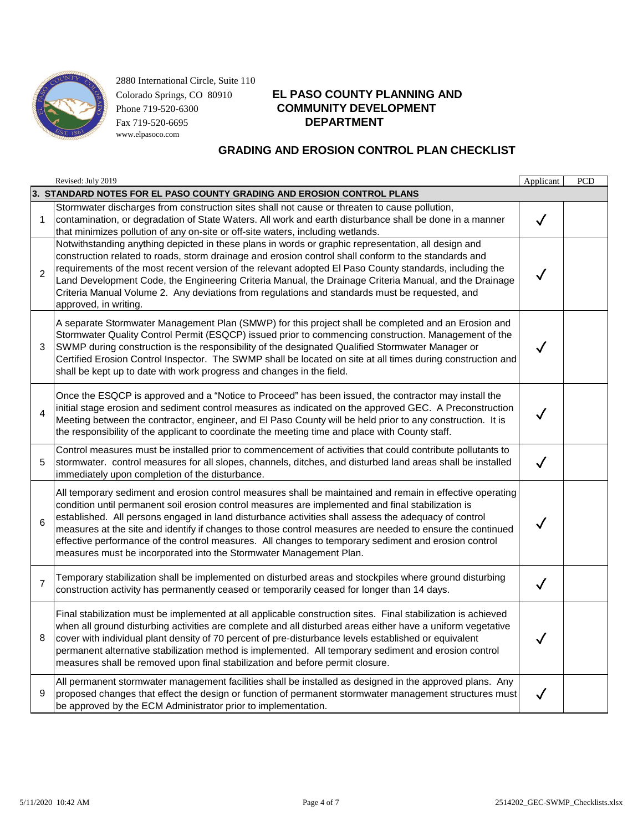

# Colorado Springs, CO 80910 **EL PASO COUNTY PLANNING AND** Phone 719-520-6300 **COMMUNITY DEVELOPMENT**

|                | Revised: July 2019                                                                                                                                                                                                                                                                                                                                                                                                                                                                                                                                                                                                 | Applicant    | PCD |
|----------------|--------------------------------------------------------------------------------------------------------------------------------------------------------------------------------------------------------------------------------------------------------------------------------------------------------------------------------------------------------------------------------------------------------------------------------------------------------------------------------------------------------------------------------------------------------------------------------------------------------------------|--------------|-----|
|                | 3. STANDARD NOTES FOR EL PASO COUNTY GRADING AND EROSION CONTROL PLANS                                                                                                                                                                                                                                                                                                                                                                                                                                                                                                                                             |              |     |
| 1              | Stormwater discharges from construction sites shall not cause or threaten to cause pollution,<br>contamination, or degradation of State Waters. All work and earth disturbance shall be done in a manner<br>that minimizes pollution of any on-site or off-site waters, including wetlands.                                                                                                                                                                                                                                                                                                                        | $\checkmark$ |     |
| $\overline{2}$ | Notwithstanding anything depicted in these plans in words or graphic representation, all design and<br>construction related to roads, storm drainage and erosion control shall conform to the standards and<br>requirements of the most recent version of the relevant adopted El Paso County standards, including the<br>Land Development Code, the Engineering Criteria Manual, the Drainage Criteria Manual, and the Drainage<br>Criteria Manual Volume 2. Any deviations from regulations and standards must be requested, and<br>approved, in writing.                                                        | $\checkmark$ |     |
| 3              | A separate Stormwater Management Plan (SMWP) for this project shall be completed and an Erosion and<br>Stormwater Quality Control Permit (ESQCP) issued prior to commencing construction. Management of the<br>SWMP during construction is the responsibility of the designated Qualified Stormwater Manager or<br>Certified Erosion Control Inspector. The SWMP shall be located on site at all times during construction and<br>shall be kept up to date with work progress and changes in the field.                                                                                                            | $\checkmark$ |     |
| $\overline{4}$ | Once the ESQCP is approved and a "Notice to Proceed" has been issued, the contractor may install the<br>initial stage erosion and sediment control measures as indicated on the approved GEC. A Preconstruction<br>Meeting between the contractor, engineer, and El Paso County will be held prior to any construction. It is<br>the responsibility of the applicant to coordinate the meeting time and place with County staff.                                                                                                                                                                                   | $\checkmark$ |     |
| 5              | Control measures must be installed prior to commencement of activities that could contribute pollutants to<br>stormwater. control measures for all slopes, channels, ditches, and disturbed land areas shall be installed<br>immediately upon completion of the disturbance.                                                                                                                                                                                                                                                                                                                                       | $\checkmark$ |     |
| 6              | All temporary sediment and erosion control measures shall be maintained and remain in effective operating<br>condition until permanent soil erosion control measures are implemented and final stabilization is<br>established. All persons engaged in land disturbance activities shall assess the adequacy of control<br>measures at the site and identify if changes to those control measures are needed to ensure the continued<br>effective performance of the control measures. All changes to temporary sediment and erosion control<br>measures must be incorporated into the Stormwater Management Plan. | ✓            |     |
| $\overline{7}$ | Temporary stabilization shall be implemented on disturbed areas and stockpiles where ground disturbing<br>construction activity has permanently ceased or temporarily ceased for longer than 14 days.                                                                                                                                                                                                                                                                                                                                                                                                              | $\checkmark$ |     |
| 8              | Final stabilization must be implemented at all applicable construction sites. Final stabilization is achieved<br>when all ground disturbing activities are complete and all disturbed areas either have a uniform vegetative<br>cover with individual plant density of 70 percent of pre-disturbance levels established or equivalent<br>permanent alternative stabilization method is implemented. All temporary sediment and erosion control<br>measures shall be removed upon final stabilization and before permit closure.                                                                                    |              |     |
| 9              | All permanent stormwater management facilities shall be installed as designed in the approved plans. Any<br>proposed changes that effect the design or function of permanent stormwater management structures must<br>be approved by the ECM Administrator prior to implementation.                                                                                                                                                                                                                                                                                                                                | $\checkmark$ |     |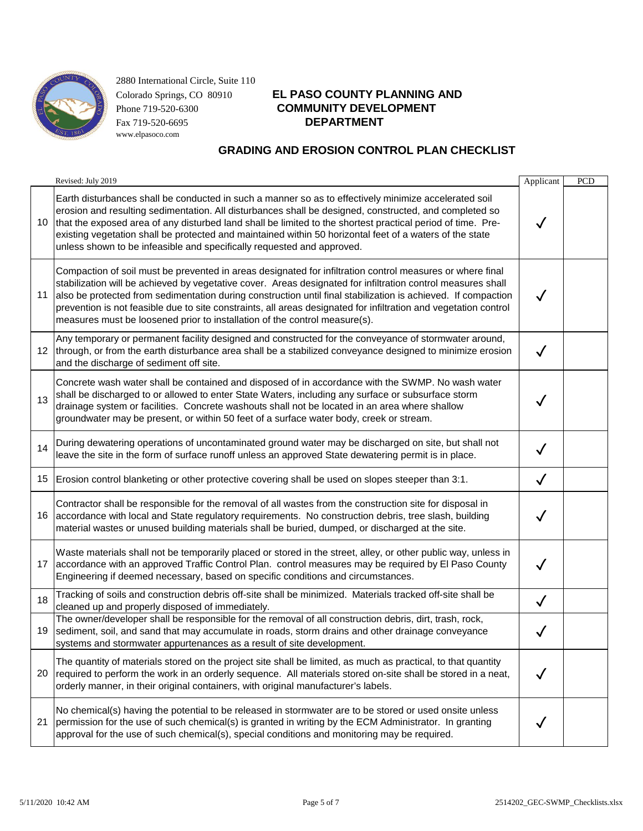

# Colorado Springs, CO 80910 **EL PASO COUNTY PLANNING AND** Phone 719-520-6300 **COMMUNITY DEVELOPMENT**

|    | Revised: July 2019                                                                                                                                                                                                                                                                                                                                                                                                                                                                                                                           | Applicant    | <b>PCD</b> |
|----|----------------------------------------------------------------------------------------------------------------------------------------------------------------------------------------------------------------------------------------------------------------------------------------------------------------------------------------------------------------------------------------------------------------------------------------------------------------------------------------------------------------------------------------------|--------------|------------|
| 10 | Earth disturbances shall be conducted in such a manner so as to effectively minimize accelerated soil<br>erosion and resulting sedimentation. All disturbances shall be designed, constructed, and completed so<br>that the exposed area of any disturbed land shall be limited to the shortest practical period of time. Pre-<br>existing vegetation shall be protected and maintained within 50 horizontal feet of a waters of the state<br>unless shown to be infeasible and specifically requested and approved.                         | $\checkmark$ |            |
| 11 | Compaction of soil must be prevented in areas designated for infiltration control measures or where final<br>stabilization will be achieved by vegetative cover. Areas designated for infiltration control measures shall<br>also be protected from sedimentation during construction until final stabilization is achieved. If compaction<br>prevention is not feasible due to site constraints, all areas designated for infiltration and vegetation control<br>measures must be loosened prior to installation of the control measure(s). | $\checkmark$ |            |
|    | Any temporary or permanent facility designed and constructed for the conveyance of stormwater around,<br>12  through, or from the earth disturbance area shall be a stabilized conveyance designed to minimize erosion<br>and the discharge of sediment off site.                                                                                                                                                                                                                                                                            | $\checkmark$ |            |
| 13 | Concrete wash water shall be contained and disposed of in accordance with the SWMP. No wash water<br>shall be discharged to or allowed to enter State Waters, including any surface or subsurface storm<br>drainage system or facilities. Concrete washouts shall not be located in an area where shallow<br>groundwater may be present, or within 50 feet of a surface water body, creek or stream.                                                                                                                                         | $\checkmark$ |            |
| 14 | During dewatering operations of uncontaminated ground water may be discharged on site, but shall not<br>leave the site in the form of surface runoff unless an approved State dewatering permit is in place.                                                                                                                                                                                                                                                                                                                                 | $\checkmark$ |            |
| 15 | Erosion control blanketing or other protective covering shall be used on slopes steeper than 3:1.                                                                                                                                                                                                                                                                                                                                                                                                                                            | $\checkmark$ |            |
| 16 | Contractor shall be responsible for the removal of all wastes from the construction site for disposal in<br>accordance with local and State regulatory requirements. No construction debris, tree slash, building<br>material wastes or unused building materials shall be buried, dumped, or discharged at the site.                                                                                                                                                                                                                        |              |            |
| 17 | Waste materials shall not be temporarily placed or stored in the street, alley, or other public way, unless in<br>accordance with an approved Traffic Control Plan. control measures may be required by El Paso County<br>Engineering if deemed necessary, based on specific conditions and circumstances.                                                                                                                                                                                                                                   | $\checkmark$ |            |
| 18 | Tracking of soils and construction debris off-site shall be minimized. Materials tracked off-site shall be<br>cleaned up and properly disposed of immediately.                                                                                                                                                                                                                                                                                                                                                                               | $\checkmark$ |            |
| 19 | The owner/developer shall be responsible for the removal of all construction debris, dirt, trash, rock,<br>sediment, soil, and sand that may accumulate in roads, storm drains and other drainage conveyance<br>systems and stormwater appurtenances as a result of site development.                                                                                                                                                                                                                                                        | √            |            |
| 20 | The quantity of materials stored on the project site shall be limited, as much as practical, to that quantity<br>required to perform the work in an orderly sequence. All materials stored on-site shall be stored in a neat,<br>orderly manner, in their original containers, with original manufacturer's labels.                                                                                                                                                                                                                          |              |            |
| 21 | No chemical(s) having the potential to be released in stormwater are to be stored or used onsite unless<br>permission for the use of such chemical(s) is granted in writing by the ECM Administrator. In granting<br>approval for the use of such chemical(s), special conditions and monitoring may be required.                                                                                                                                                                                                                            |              |            |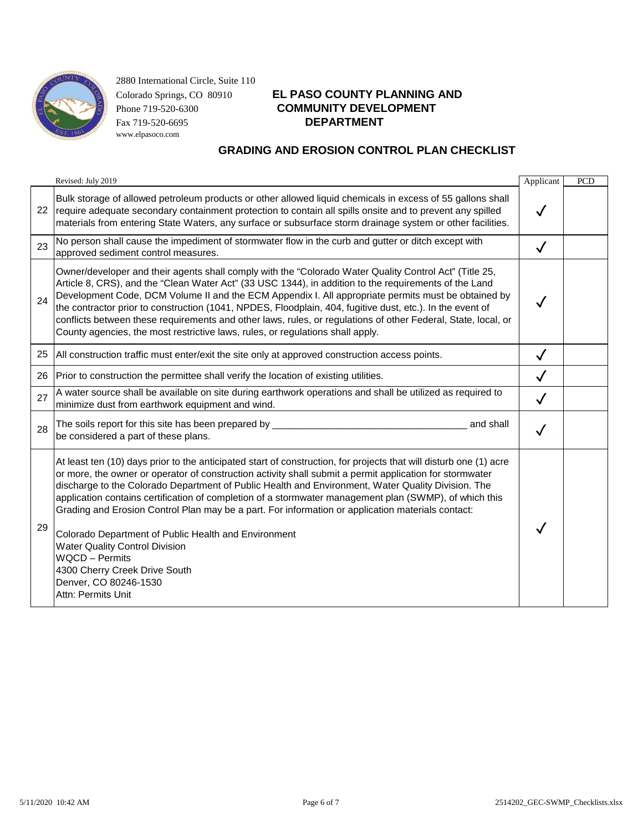

# Colorado Springs, CO 80910 **EL PASO COUNTY PLANNING AND** Phone 719-520-6300 **COMMUNITY DEVELOPMENT**

|    | Revised: July 2019                                                                                                                                                                                                                                                                                                                                                                                                                                                                                                                                                                                                                                                                                                                                            | Applicant    | <b>PCD</b> |
|----|---------------------------------------------------------------------------------------------------------------------------------------------------------------------------------------------------------------------------------------------------------------------------------------------------------------------------------------------------------------------------------------------------------------------------------------------------------------------------------------------------------------------------------------------------------------------------------------------------------------------------------------------------------------------------------------------------------------------------------------------------------------|--------------|------------|
| 22 | Bulk storage of allowed petroleum products or other allowed liquid chemicals in excess of 55 gallons shall<br>require adequate secondary containment protection to contain all spills onsite and to prevent any spilled<br>materials from entering State Waters, any surface or subsurface storm drainage system or other facilities.                                                                                                                                                                                                                                                                                                                                                                                                                         |              |            |
| 23 | No person shall cause the impediment of stormwater flow in the curb and gutter or ditch except with<br>approved sediment control measures.                                                                                                                                                                                                                                                                                                                                                                                                                                                                                                                                                                                                                    | $\checkmark$ |            |
| 24 | Owner/developer and their agents shall comply with the "Colorado Water Quality Control Act" (Title 25,<br>Article 8, CRS), and the "Clean Water Act" (33 USC 1344), in addition to the requirements of the Land<br>Development Code, DCM Volume II and the ECM Appendix I. All appropriate permits must be obtained by<br>the contractor prior to construction (1041, NPDES, Floodplain, 404, fugitive dust, etc.). In the event of<br>conflicts between these requirements and other laws, rules, or regulations of other Federal, State, local, or<br>County agencies, the most restrictive laws, rules, or regulations shall apply.                                                                                                                        |              |            |
| 25 | All construction traffic must enter/exit the site only at approved construction access points.                                                                                                                                                                                                                                                                                                                                                                                                                                                                                                                                                                                                                                                                | $\checkmark$ |            |
| 26 | Prior to construction the permittee shall verify the location of existing utilities.                                                                                                                                                                                                                                                                                                                                                                                                                                                                                                                                                                                                                                                                          |              |            |
| 27 | A water source shall be available on site during earthwork operations and shall be utilized as required to<br>minimize dust from earthwork equipment and wind.                                                                                                                                                                                                                                                                                                                                                                                                                                                                                                                                                                                                | $\checkmark$ |            |
| 28 | The soils report for this site has been prepared by _<br>and shall<br>be considered a part of these plans.                                                                                                                                                                                                                                                                                                                                                                                                                                                                                                                                                                                                                                                    |              |            |
| 29 | At least ten (10) days prior to the anticipated start of construction, for projects that will disturb one (1) acre<br>or more, the owner or operator of construction activity shall submit a permit application for stormwater<br>discharge to the Colorado Department of Public Health and Environment, Water Quality Division. The<br>application contains certification of completion of a stormwater management plan (SWMP), of which this<br>Grading and Erosion Control Plan may be a part. For information or application materials contact:<br>Colorado Department of Public Health and Environment<br><b>Water Quality Control Division</b><br><b>WQCD</b> - Permits<br>4300 Cherry Creek Drive South<br>Denver, CO 80246-1530<br>Attn: Permits Unit |              |            |